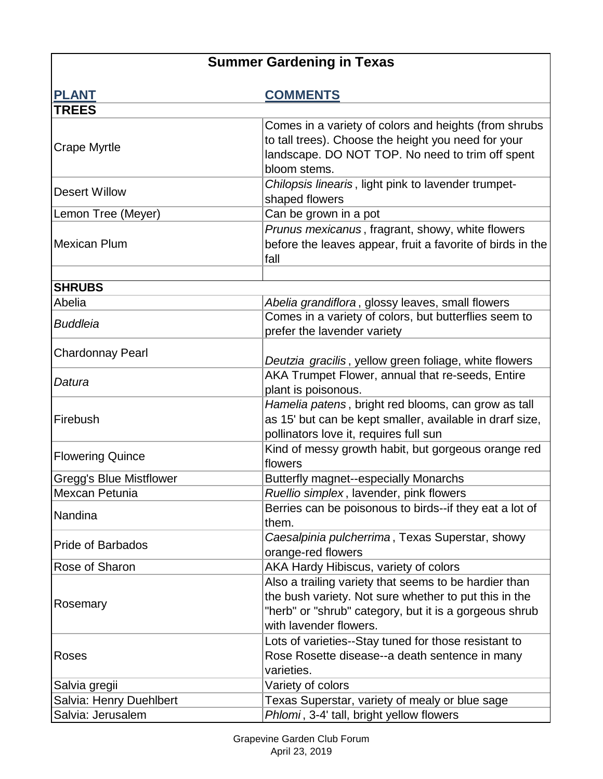## **Summer Gardening in Texas**

| <b>PLANT</b>                   | <b>COMMENTS</b>                                                                                                                                                                                    |
|--------------------------------|----------------------------------------------------------------------------------------------------------------------------------------------------------------------------------------------------|
| <b>TREES</b>                   |                                                                                                                                                                                                    |
| <b>Crape Myrtle</b>            | Comes in a variety of colors and heights (from shrubs<br>to tall trees). Choose the height you need for your<br>landscape. DO NOT TOP. No need to trim off spent<br>bloom stems.                   |
| <b>Desert Willow</b>           | Chilopsis linearis, light pink to lavender trumpet-<br>shaped flowers                                                                                                                              |
| Lemon Tree (Meyer)             | Can be grown in a pot                                                                                                                                                                              |
| <b>Mexican Plum</b>            | Prunus mexicanus, fragrant, showy, white flowers<br>before the leaves appear, fruit a favorite of birds in the<br>fall                                                                             |
| <b>SHRUBS</b>                  |                                                                                                                                                                                                    |
| Abelia                         | Abelia grandiflora, glossy leaves, small flowers                                                                                                                                                   |
| <b>Buddleia</b>                | Comes in a variety of colors, but butterflies seem to<br>prefer the lavender variety                                                                                                               |
| <b>Chardonnay Pearl</b>        | Deutzia gracilis, yellow green foliage, white flowers                                                                                                                                              |
| Datura                         | AKA Trumpet Flower, annual that re-seeds, Entire<br>plant is poisonous.                                                                                                                            |
| Firebush                       | Hamelia patens, bright red blooms, can grow as tall<br>as 15' but can be kept smaller, available in drarf size,<br>pollinators love it, requires full sun                                          |
| <b>Flowering Quince</b>        | Kind of messy growth habit, but gorgeous orange red<br>flowers                                                                                                                                     |
| <b>Gregg's Blue Mistflower</b> | <b>Butterfly magnet--especially Monarchs</b>                                                                                                                                                       |
| Mexcan Petunia                 | Ruellio simplex, lavender, pink flowers                                                                                                                                                            |
| Nandina                        | Berries can be poisonous to birds--if they eat a lot of<br>them.                                                                                                                                   |
| <b>Pride of Barbados</b>       | Caesalpinia pulcherrima, Texas Superstar, showy<br>orange-red flowers                                                                                                                              |
| Rose of Sharon                 | AKA Hardy Hibiscus, variety of colors                                                                                                                                                              |
| Rosemary                       | Also a trailing variety that seems to be hardier than<br>the bush variety. Not sure whether to put this in the<br>"herb" or "shrub" category, but it is a gorgeous shrub<br>with lavender flowers. |
| Roses                          | Lots of varieties--Stay tuned for those resistant to<br>Rose Rosette disease--a death sentence in many<br>varieties.                                                                               |
| Salvia gregii                  | Variety of colors                                                                                                                                                                                  |
| Salvia: Henry Duehlbert        | Texas Superstar, variety of mealy or blue sage                                                                                                                                                     |
| Salvia: Jerusalem              | Phlomi, 3-4' tall, bright yellow flowers                                                                                                                                                           |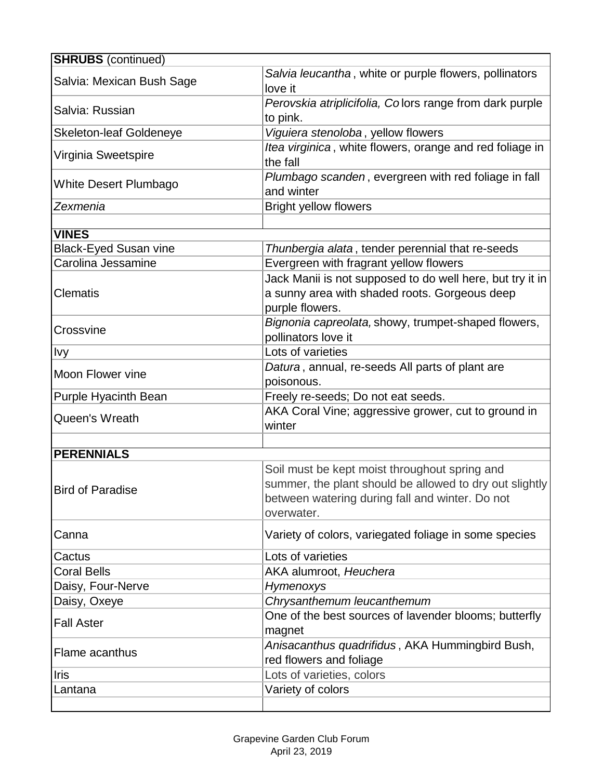| <b>SHRUBS</b> (continued)      |                                                                                                                                                                           |
|--------------------------------|---------------------------------------------------------------------------------------------------------------------------------------------------------------------------|
| Salvia: Mexican Bush Sage      | Salvia leucantha, white or purple flowers, pollinators<br>love it                                                                                                         |
| Salvia: Russian                | Perovskia atriplicifolia, Colors range from dark purple<br>to pink.                                                                                                       |
| <b>Skeleton-leaf Goldeneye</b> | Viguiera stenoloba, yellow flowers                                                                                                                                        |
| Virginia Sweetspire            | Itea virginica, white flowers, orange and red foliage in<br>the fall                                                                                                      |
| <b>White Desert Plumbago</b>   | Plumbago scanden, evergreen with red foliage in fall<br>and winter                                                                                                        |
| Zexmenia                       | <b>Bright yellow flowers</b>                                                                                                                                              |
|                                |                                                                                                                                                                           |
| <b>VINES</b>                   |                                                                                                                                                                           |
| <b>Black-Eyed Susan vine</b>   | Thunbergia alata, tender perennial that re-seeds                                                                                                                          |
| Carolina Jessamine             | Evergreen with fragrant yellow flowers                                                                                                                                    |
| <b>Clematis</b>                | Jack Manii is not supposed to do well here, but try it in<br>a sunny area with shaded roots. Gorgeous deep<br>purple flowers.                                             |
| Crossvine                      | Bignonia capreolata, showy, trumpet-shaped flowers,<br>pollinators love it                                                                                                |
| <b>Ivy</b>                     | Lots of varieties                                                                                                                                                         |
| Moon Flower vine               | Datura, annual, re-seeds All parts of plant are<br>poisonous.                                                                                                             |
| <b>Purple Hyacinth Bean</b>    | Freely re-seeds; Do not eat seeds.                                                                                                                                        |
| Queen's Wreath                 | AKA Coral Vine; aggressive grower, cut to ground in<br>winter                                                                                                             |
| <b>PERENNIALS</b>              |                                                                                                                                                                           |
| <b>Bird of Paradise</b>        | Soil must be kept moist throughout spring and<br>summer, the plant should be allowed to dry out slightly<br>between watering during fall and winter. Do not<br>overwater. |
| Canna                          | Variety of colors, variegated foliage in some species                                                                                                                     |
| Cactus                         | Lots of varieties                                                                                                                                                         |
| <b>Coral Bells</b>             | AKA alumroot, Heuchera                                                                                                                                                    |
| Daisy, Four-Nerve              | Hymenoxys                                                                                                                                                                 |
| Daisy, Oxeye                   | Chrysanthemum leucanthemum                                                                                                                                                |
| <b>Fall Aster</b>              | One of the best sources of lavender blooms; butterfly<br>magnet                                                                                                           |
| Flame acanthus                 | Anisacanthus quadrifidus, AKA Hummingbird Bush,<br>red flowers and foliage                                                                                                |
| <b>Iris</b>                    | Lots of varieties, colors                                                                                                                                                 |
| Lantana                        | Variety of colors                                                                                                                                                         |
|                                |                                                                                                                                                                           |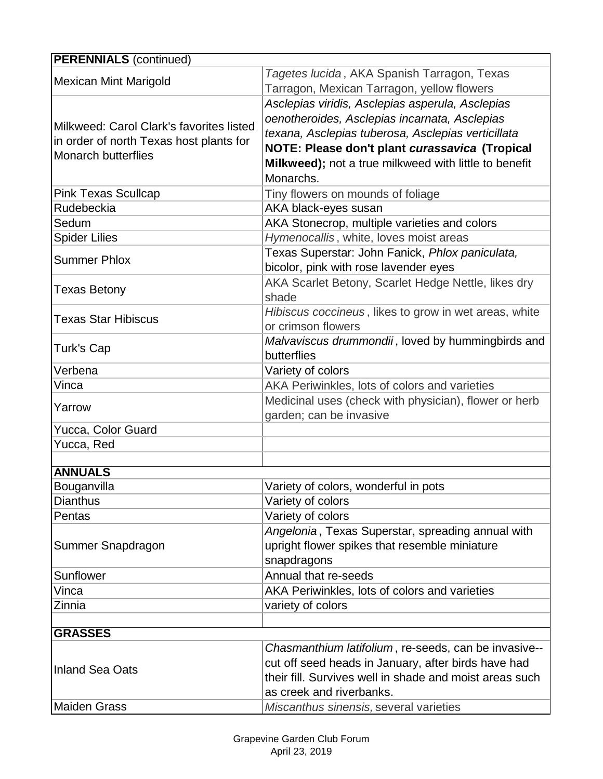| <b>PERENNIALS (continued)</b>                                                                                     |                                                                                                                                                                                                                                                                                 |
|-------------------------------------------------------------------------------------------------------------------|---------------------------------------------------------------------------------------------------------------------------------------------------------------------------------------------------------------------------------------------------------------------------------|
| <b>Mexican Mint Marigold</b>                                                                                      | Tagetes lucida, AKA Spanish Tarragon, Texas<br>Tarragon, Mexican Tarragon, yellow flowers                                                                                                                                                                                       |
| Milkweed: Carol Clark's favorites listed<br>in order of north Texas host plants for<br><b>Monarch butterflies</b> | Asclepias viridis, Asclepias asperula, Asclepias<br>oenotheroides, Asclepias incarnata, Asclepias<br>texana, Asclepias tuberosa, Asclepias verticillata<br>NOTE: Please don't plant curassavica (Tropical<br>Milkweed); not a true milkweed with little to benefit<br>Monarchs. |
| <b>Pink Texas Scullcap</b>                                                                                        | Tiny flowers on mounds of foliage                                                                                                                                                                                                                                               |
| Rudebeckia                                                                                                        | AKA black-eyes susan                                                                                                                                                                                                                                                            |
| Sedum                                                                                                             | AKA Stonecrop, multiple varieties and colors                                                                                                                                                                                                                                    |
| <b>Spider Lilies</b>                                                                                              | Hymenocallis, white, loves moist areas                                                                                                                                                                                                                                          |
| <b>Summer Phlox</b>                                                                                               | Texas Superstar: John Fanick, Phlox paniculata,<br>bicolor, pink with rose lavender eyes                                                                                                                                                                                        |
| <b>Texas Betony</b>                                                                                               | AKA Scarlet Betony, Scarlet Hedge Nettle, likes dry<br>shade                                                                                                                                                                                                                    |
| <b>Texas Star Hibiscus</b>                                                                                        | Hibiscus coccineus, likes to grow in wet areas, white<br>or crimson flowers                                                                                                                                                                                                     |
| Turk's Cap                                                                                                        | Malvaviscus drummondii, loved by hummingbirds and<br>butterflies                                                                                                                                                                                                                |
| Verbena                                                                                                           | Variety of colors                                                                                                                                                                                                                                                               |
| Vinca                                                                                                             | AKA Periwinkles, lots of colors and varieties                                                                                                                                                                                                                                   |
| Yarrow                                                                                                            | Medicinal uses (check with physician), flower or herb<br>garden; can be invasive                                                                                                                                                                                                |
| Yucca, Color Guard                                                                                                |                                                                                                                                                                                                                                                                                 |
| Yucca, Red                                                                                                        |                                                                                                                                                                                                                                                                                 |
| <b>ANNUALS</b>                                                                                                    |                                                                                                                                                                                                                                                                                 |
| Bouganvilla                                                                                                       | Variety of colors, wonderful in pots                                                                                                                                                                                                                                            |
| <b>Dianthus</b>                                                                                                   | Variety of colors                                                                                                                                                                                                                                                               |
| Pentas                                                                                                            | Variety of colors                                                                                                                                                                                                                                                               |
| Summer Snapdragon                                                                                                 | Angelonia, Texas Superstar, spreading annual with<br>upright flower spikes that resemble miniature<br>snapdragons                                                                                                                                                               |
| Sunflower                                                                                                         | Annual that re-seeds                                                                                                                                                                                                                                                            |
| Vinca                                                                                                             | AKA Periwinkles, lots of colors and varieties                                                                                                                                                                                                                                   |
| Zinnia                                                                                                            | variety of colors                                                                                                                                                                                                                                                               |
|                                                                                                                   |                                                                                                                                                                                                                                                                                 |
| <b>GRASSES</b>                                                                                                    |                                                                                                                                                                                                                                                                                 |
| <b>Inland Sea Oats</b>                                                                                            | Chasmanthium latifolium, re-seeds, can be invasive--<br>cut off seed heads in January, after birds have had<br>their fill. Survives well in shade and moist areas such<br>as creek and riverbanks.                                                                              |
| <b>Maiden Grass</b>                                                                                               | Miscanthus sinensis, several varieties                                                                                                                                                                                                                                          |
|                                                                                                                   |                                                                                                                                                                                                                                                                                 |